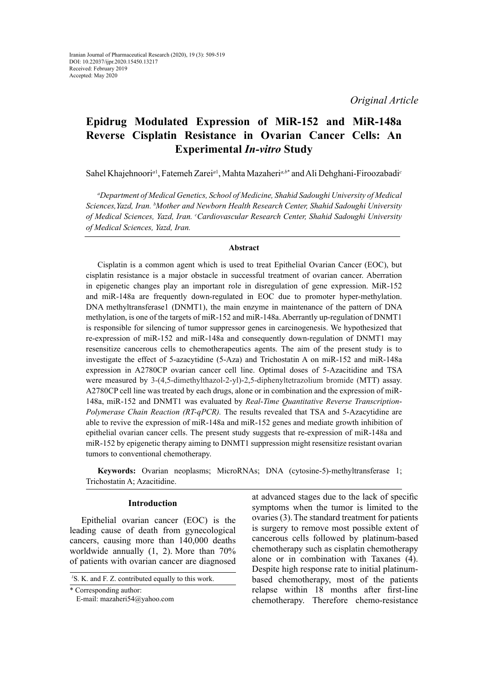# **Epidrug Modulated Expression of MiR-152 and MiR-148a Reverse Cisplatin Resistance in Ovarian Cancer Cells: An Experimental** *In-vitro* **Study**

Sahel Khajehnoori<sup>a1</sup>, Fatemeh Zarei<sup>a1</sup>, Mahta Mazaheri<sup>a,b\*</sup> and Ali Dehghani-Firoozabadi<sup>c</sup>

*a Department of Medical Genetics, School of Medicine, Shahid Sadoughi University of Medical Sciences,Yazd, Iran. b Mother and Newborn Health Research Center, Shahid Sadoughi University of Medical Sciences, Yazd, Iran. c Cardiovascular Research Center, Shahid Sadoughi University of Medical Sciences, Yazd, Iran.*

## **Abstract**

Cisplatin is a common agent which is used to treat Epithelial Ovarian Cancer (EOC), but cisplatin resistance is a major obstacle in successful treatment of ovarian cancer. Aberration in epigenetic changes play an important role in disregulation of gene expression. MiR-152 and miR-148a are frequently down-regulated in EOC due to promoter hyper-methylation. DNA methyltransferase1 (DNMT1), the main enzyme in maintenance of the pattern of DNA methylation, is one of the targets of miR-152 and miR-148a. Aberrantly up-regulation of DNMT1 is responsible for silencing of tumor suppressor genes in carcinogenesis. We hypothesized that re-expression of miR-152 and miR-148a and consequently down-regulation of DNMT1 may resensitize cancerous cells to chemotherapeutics agents. The aim of the present study is to investigate the effect of 5-azacytidine (5-Aza) and Trichostatin A on miR-152 and miR-148a expression in A2780CP ovarian cancer cell line. Optimal doses of 5-Azacitidine and TSA were measured by 3-(4,5-dimethylthazol-2-yl)-2,5-diphenyltetrazolium bromide (MTT) assay. A2780CP cell line was treated by each drugs, alone or in combination and the expression of miR-148a, miR-152 and DNMT1 was evaluated by *Real*-*Time Quantitative Reverse Transcription*-*Polymerase Chain Reaction (RT-qPCR).* The results revealed that TSA and 5-Azacytidine are able to revive the expression of miR-148a and miR-152 genes and mediate growth inhibition of epithelial ovarian cancer cells. The present study suggests that re-expression of miR-148a and miR-152 by epigenetic therapy aiming to DNMT1 suppression might resensitize resistant ovarian tumors to conventional chemotherapy.

**Keywords:** Ovarian neoplasms; MicroRNAs; DNA (cytosine-5)-methyltransferase 1; Trichostatin A; Azacitidine.

## **Introduction**

Epithelial ovarian cancer (EOC) is the leading cause of death from gynecological cancers, causing more than 140,000 deaths worldwide annually (1, 2). More than 70% of patients with ovarian cancer are diagnosed

*1* S. K. and F. Z. contributed equally to this work.

\* Corresponding author:

E-mail: mazaheri54@yahoo.com

at advanced stages due to the lack of specific symptoms when the tumor is limited to the ovaries (3).The standard treatment for patients is surgery to remove most possible extent of cancerous cells followed by platinum-based chemotherapy such as cisplatin chemotherapy alone or in combination with Taxanes (4). Despite high response rate to initial platinumbased chemotherapy, most of the patients relapse within 18 months after first-line chemotherapy. Therefore chemo-resistance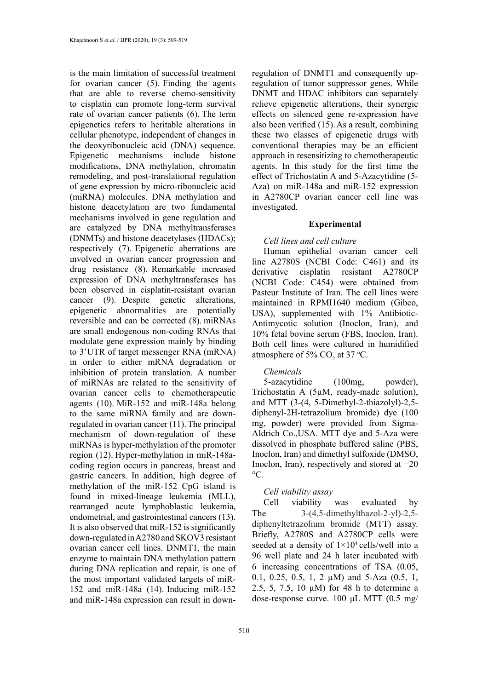is the main limitation of successful treatment for ovarian cancer (5). Finding the agents that are able to reverse chemo-sensitivity to cisplatin can promote long-term survival rate of ovarian cancer patients (6). The term epigenetics refers to heritable alterations in cellular phenotype, independent of changes in the deoxyribonucleic acid (DNA) sequence. Epigenetic mechanisms include histone modifications, DNA methylation, chromatin remodeling, and post-translational regulation of gene expression by micro-ribonucleic acid (miRNA) molecules. DNA methylation and histone deacetylation are two fundamental mechanisms involved in gene regulation and are catalyzed by DNA methyltransferases (DNMTs) and histone deacetylases (HDACs); respectively (7). Epigenetic aberrations are involved in ovarian cancer progression and drug resistance (8). Remarkable increased expression of DNA methyltransferases has been observed in cisplatin-resistant ovarian cancer (9). Despite genetic alterations, epigenetic abnormalities are potentially reversible and can be corrected (8). miRNAs are small endogenous non-coding RNAs that modulate gene expression mainly by binding to 3'UTR of target messenger RNA (mRNA) in order to either mRNA degradation or inhibition of protein translation. A number of miRNAs are related to the sensitivity of ovarian cancer cells to chemotherapeutic agents (10). MiR-152 and miR-148a belong to the same miRNA family and are downregulated in ovarian cancer (11).The principal mechanism of down-regulation of these miRNAs is hyper-methylation of the promoter region (12). Hyper-methylation in miR-148acoding region occurs in pancreas, breast and gastric cancers. In addition, high degree of methylation of the miR-152 CpG island is found in mixed-lineage leukemia (MLL), rearranged acute lymphoblastic leukemia, endometrial, and gastrointestinal cancers (13). It is also observed that miR-152 is significantly down-regulated in A2780 and SKOV3 resistant ovarian cancer cell lines. DNMT1, the main enzyme to maintain DNA methylation pattern during DNA replication and repair, is one of the most important validated targets of miR-152 and miR-148a (14). Inducing miR-152 and miR-148a expression can result in downregulation of DNMT1 and consequently upregulation of tumor suppressor genes. While DNMT and HDAC inhibitors can separately relieve epigenetic alterations, their synergic effects on silenced gene re-expression have also been verified (15).As a result, combining these two classes of epigenetic drugs with conventional therapies may be an efficient approach in resensitizing to chemotherapeutic agents. In this study for the first time the effect of Trichostatin A and 5-Azacytidine (5- Aza) on miR-148a and miR-152 expression in A2780CP ovarian cancer cell line was investigated.

#### **Experimental**

## *Cell lines and cell culture*

Human epithelial ovarian cancer cell line A2780S (NCBI Code: C461) and its derivative cisplatin resistant A2780CP (NCBI Code: C454) were obtained from Pasteur Institute of Iran. The cell lines were maintained in RPMI1640 medium (Gibco, USA), supplemented with 1% Antibiotic-Antimycotic solution (Inoclon, Iran), and 10% fetal bovine serum (FBS, Inoclon, Iran). Both cell lines were cultured in humidified atmosphere of 5%  $CO<sub>2</sub>$  at 37 °C.

# *Chemicals*

5-azacytidine (100mg, powder), Trichostatin A (5µM, ready-made solution), and MTT (3-(4, 5-Dimethyl-2-thiazolyl)-2,5 diphenyl-2H-tetrazolium bromide) dye (100 mg, powder) were provided from Sigma-Aldrich Co.,USA. MTT dye and 5-Aza were dissolved in phosphate buffered saline (PBS, Inoclon, Iran) and dimethyl sulfoxide (DMSO, Inoclon, Iran), respectively and stored at −20  $\rm{^{\circ}C}.$ 

## *Cell viability assay*

Cell viability was evaluated by The  $3-(4,5\text{-dimethylthazol-2-yl)-2,5$ diphenyltetrazolium bromide (MTT) assay. Briefly, A2780S and A2780CP cells were seeded at a density of  $1\times10^4$  cells/well into a 96 well plate and 24 h later incubated with 6 increasing concentrations of TSA (0.05, 0.1, 0.25, 0.5, 1, 2 µM) and 5-Aza (0.5, 1, 2.5, 5, 7.5, 10 µM) for 48 h to determine a dose-response curve. 100 μL MTT (0.5 mg/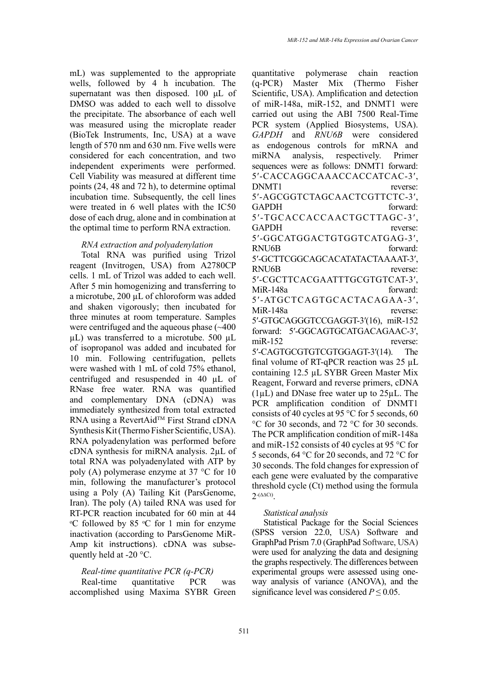mL) was supplemented to the appropriate wells, followed by 4 h incubation. The supernatant was then disposed. 100 μL of DMSO was added to each well to dissolve the precipitate. The absorbance of each well was measured using the microplate reader (BioTek Instruments, Inc, USA) at a wave length of 570 nm and 630 nm. Five wells were considered for each concentration, and two independent experiments were performed. Cell Viability was measured at different time points (24, 48 and 72 h), to determine optimal incubation time. Subsequently, the cell lines were treated in 6 well plates with the IC50 dose of each drug, alone and in combination at the optimal time to perform RNA extraction.

## *RNA extraction and polyadenylation*

Total RNA was purified using Trizol reagent (Invitrogen, USA) from A2780CP cells. 1 mL of Trizol was added to each well. After 5 min homogenizing and transferring to a microtube, 200 µL of chloroform was added and shaken vigorously; then incubated for three minutes at room temperature. Samples were centrifuged and the aqueous phase (~400 µL) was transferred to a microtube. 500 µL of isopropanol was added and incubated for 10 min. Following centrifugation, pellets were washed with 1 mL of cold 75% ethanol, centrifuged and resuspended in 40 µL of RNase free water. RNA was quantified and complementary DNA (cDNA) was immediately synthesized from total extracted RNA using a RevertAid™ First Strand cDNA Synthesis Kit (Thermo Fisher Scientific, USA). RNA polyadenylation was performed before cDNA synthesis for miRNA analysis. 2µL of total RNA was polyadenylated with ATP by poly (A) polymerase enzyme at 37 °C for 10 min, following the manufacturer's protocol using a Poly (A) Tailing Kit (ParsGenome, Iran). The poly (A) tailed RNA was used for RT-PCR reaction incubated for 60 min at 44  $\rm{^{\circ}C}$  followed by 85  $\rm{^{\circ}C}$  for 1 min for enzyme inactivation (according to ParsGenome MiR-Amp kit instructions). cDNA was subsequently held at -20 °C.

# *Real-time quantitative PCR (q-PCR)*

Real-time quantitative PCR was accomplished using Maxima SYBR Green quantitative polymerase chain reaction<br>(q-PCR) Master Mix (Thermo Fisher  $(q$ -PCR) Master Mix Scientific, USA). Amplification and detection of miR-148a, miR-152, and DNMT1 were carried out using the ABI 7500 Real-Time PCR system (Applied Biosystems, USA). *GAPDH* and *RNU6B* were considered as endogenous controls for mRNA and miRNA analysis, respectively. Primer sequences were as follows: DNMT1 forward: 5′-CACCAGGCAAACCACCATCAC-3′, DNMT1 reverse: 5′-AGCGGTCTAGCAACTCGTTCTC-3′, GAPDH forward: 5′-TGCACCACCAACTGCTTAGC-3′, GAPDH reverse: 5′-GGCATGGACTGTGGTCATGAG-3′, RNU6B forward: 5′-GCTTCGGCAGCACATATACTAAAAT-3′, RNU6B reverse: 5′-CGCTTCACGAATTTGCGTGTCAT-3′, MiR-148a forward: 5′-ATGCTCAGTGCACTACAGAA-3′, MiR-148a reverse: 5′-GTGCAGGGTCCGAGGT-3′(16), miR-152 forward: 5′-GGCAGTGCATGACAGAAC-3′, miR-152 reverse: 5′-CAGTGCGTGTCGTGGAGT-3′(14). The final volume of RT-qPCR reaction was 25 µL containing 12.5 µL SYBR Green Master Mix Reagent, Forward and reverse primers, cDNA  $(1\mu L)$  and DNase free water up to  $25\mu L$ . The PCR amplification condition of DNMT1 consists of 40 cycles at 95 °C for 5 seconds, 60 °C for 30 seconds, and 72 °C for 30 seconds. The PCR amplification condition of miR-148a and miR-152 consists of 40 cycles at 95 °C for 5 seconds, 64 °C for 20 seconds, and 72 °C for 30 seconds. The fold changes for expression of each gene were evaluated by the comparative threshold cycle (Ct) method using the formula  $2^{-(\Delta \Delta Ct)}$ .

## *Statistical analysis*

Statistical Package for the Social Sciences (SPSS version 22.0, USA) Software and GraphPad Prism 7.0 (GraphPad Software, USA) were used for analyzing the data and designing the graphs respectively. The differences between experimental groups were assessed using oneway analysis of variance (ANOVA), and the significance level was considered  $P \le 0.05$ .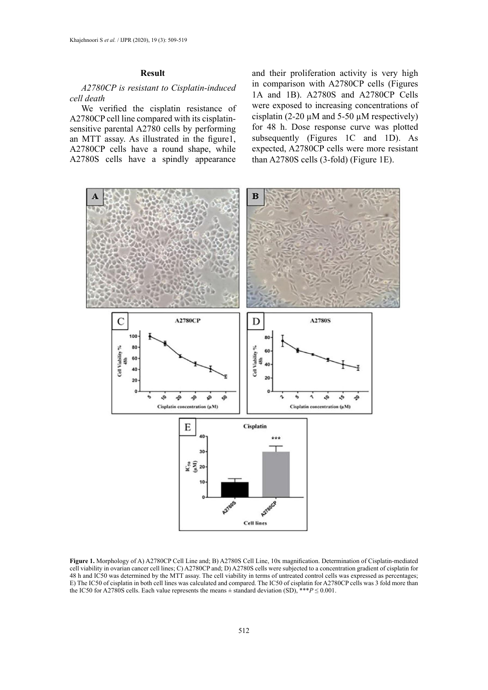## **Result**

# *A2780CP is resistant to Cisplatin-induced cell death*

We verified the cisplatin resistance of A2780CP cell line compared with its cisplatinsensitive parental A2780 cells by performing an MTT assay. As illustrated in the figure1, A2780CP cells have a round shape, while A2780S cells have a spindly appearance

and their proliferation activity is very high in comparison with A2780CP cells (Figures 1A and 1B). A2780S and A2780CP Cells were exposed to increasing concentrations of cisplatin (2-20  $\mu$ M and 5-50  $\mu$ M respectively) for 48 h. Dose response curve was plotted subsequently (Figures 1C and 1D). As expected, A2780CP cells were more resistant than A2780S cells (3-fold) (Figure 1E).



cell viability in ovarian cancer cell lines; C) A2780CP and; D) A2780S cells were subjected to a concentration gradient of cisplatin for 48 h and IC50 was determined by the MTT assay. The cell viability in terms of untreated control cells was expressed as percentages; the IC50 for A2780S cells. Each value represents the means  $\pm$  standard deviation (SD),  $**P \le 0.001$ . **Figure 1.** Morphology of A) A2780CP Cell Line and; B) A2780S Cell Line, 10x magnification. Determination of Cisplatin-mediated E) The IC50 of cisplatin in both cell lines was calculated and compared. The IC50 of cisplatin for A2780CP cells was 3 fold more than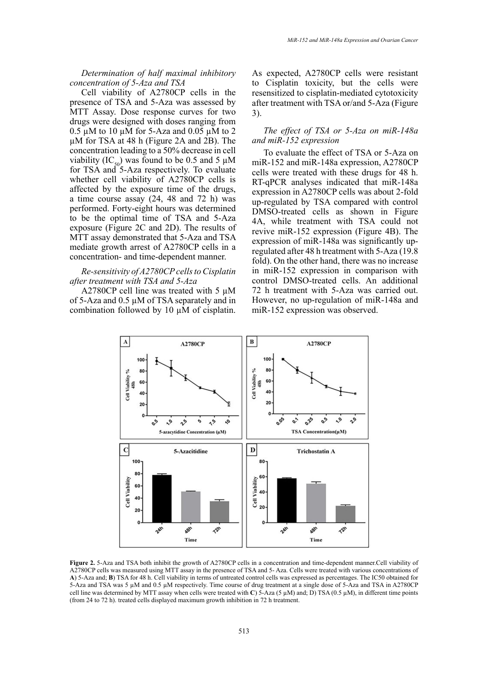## *Determination of half maximal inhibitory concentration of 5-Aza and TSA*

Cell viability of A2780CP cells in the presence of TSA and 5-Aza was assessed by MTT Assay. Dose response curves for two drugs were designed with doses ranging from 0.5  $\mu$ M to 10  $\mu$ M for 5-Aza and 0.05  $\mu$ M to 2 µM for TSA at 48 h (Figure 2A and 2B). The concentration leading to a 50% decrease in cell viability (IC<sub>50</sub>) was found to be 0.5 and 5  $\mu$ M for TSA and 5-Aza respectively. To evaluate whether cell viability of A2780CP cells is affected by the exposure time of the drugs, a time course assay (24, 48 and 72 h) was performed. Forty-eight hours was determined to be the optimal time of TSA and 5-Aza exposure (Figure 2C and 2D). The results of MTT assay demonstrated that 5-Aza and TSA mediate growth arrest of A2780CP cells in a concentration- and time-dependent manner.

## *Re-sensitivity of A2780CP cells to Cisplatin after treatment with TSA and 5-Aza*

A2780CP cell line was treated with 5 µM of 5-Aza and 0.5 µM of TSA separately and in combination followed by 10 µM of cisplatin.

As expected, A2780CP cells were resistant to Cisplatin toxicity, but the cells were resensitized to cisplatin-mediated cytotoxicity after treatment with TSA or/and 5-Aza (Figure 3).

# *The effect of TSA or 5-Aza on miR-148a and miR-152 expression*

To evaluate the effect of TSA or 5-Aza on miR-152 and miR-148a expression, A2780CP cells were treated with these drugs for 48 h. RT-qPCR analyses indicated that miR-148a expression in A2780CP cells was about 2-fold up-regulated by TSA compared with control DMSO-treated cells as shown in Figure 4A, while treatment with TSA could not revive miR-152 expression (Figure 4B). The expression of miR-148a was significantly upregulated after 48 h treatment with 5-Aza (19.8 fold). On the other hand, there was no increase in miR-152 expression in comparison with control DMSO-treated cells. An additional 72 h treatment with 5-Aza was carried out. However, no up-regulation of miR-148a and miR-152 expression was observed.



Figure 2. 5-Aza and TSA both inhibit the growth of A2780CP cells in a concentration and time-dependent manner.Cell viability of A2780CP cells was measured using MTT assay in the presence of TSA and 5-Aza. Cells were treated with various concentrations of A) 5-Aza and; B) TSA for 48 h. Cell viability in terms of untreated control cells was expressed as percentages. The IC50 obtained for 5-Aza and TSA was 5 µM and 0.5 µM respectively. Time course of drug treatment at a single dose of 5-Aza and TSA in A2780CP  $(\text{from 24 to 72 h})$ . treated cells displayed maximum growth inhibition in 72 h treatment. cell line was determined by MTT assay when cells were treated with **C**) 5-Aza (5 µM) and; D) TSA (0.5 µM), in different time points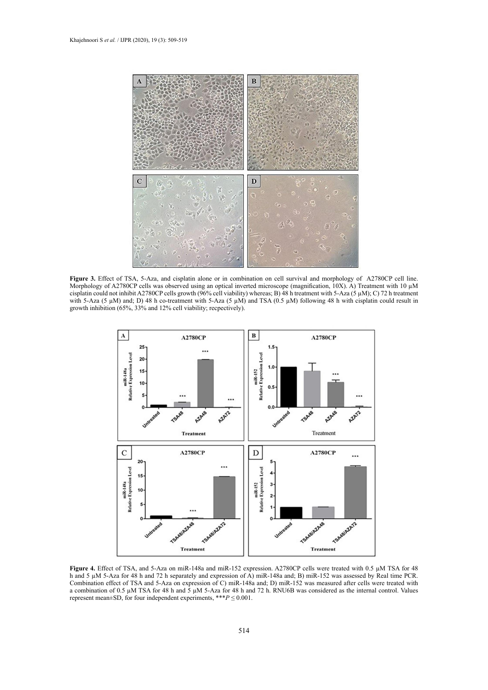

Figure 3. Effect of TSA, 5-Aza, and cisplatin alone or in combination on cell survival and morphology of A2780CP cell line. Morphology of A2780CP cells was observed using an optical inverted microscope (magnification, 10X). A) Treatment with 10 µM cisplatin could not inhibit A2780CP cells growth (96% cell viability) whereas; B) 48 h treatment with 5-Aza (5  $\mu$ M); C) 72 h treatment with 5-Aza (5  $\mu$ M) and; D) 48 h co-treatment with 5-Aza (5  $\mu$ M) and TSA (0.5  $\mu$ M) following 48 h with cisplatin could result in growth inhibition (65%, 33% and 12% cell viability; recpectively).



h and 5 µM 5-Aza for 48 h and 72 h separately and expression of A) miR-148a and; B) miR-152 was assessed by Real time PCR. Combination effect of TSA and 5-Aza on expression of C) miR-148a and; D) miR-152 was measured after cells were treated with represent mean±SD, for four independent experiments, \*\*\* $P \le 0.001$ . Figure 4. Effect of TSA, and 5-Aza on miR-148a and miR-152 expression. A2780CP cells were treated with 0.5  $\mu$ M TSA for 48 a combination of 0.5  $\mu$ M TSA for 48 h and  $\bar{5}$   $\mu$ M 5-Aza for 48 h and 72 h. RNU6B was considered as the internal control. Values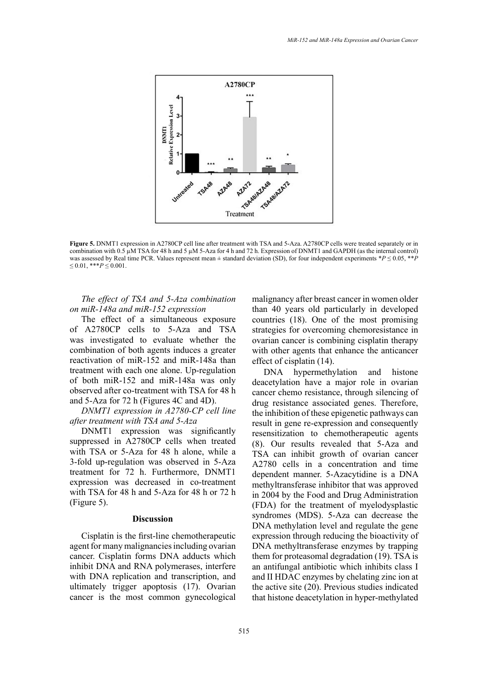

combination with  $0.5 \mu$ M TSA for 48 h and 5  $\mu$ M 5-Aza for 4 h and 72 h. Expression of DNMT1 and GAPDH (as the internal control) was assessed by Real time PCR. Values represent mean  $\pm$  standard deviation (SD), for four independent experiments \*P  $\leq$  0.05, \*\*P time PCR. Values represent mean ± standard deviation (SD), for four independent experiments \**P* ≤ 0.05, \*\**P* ≤ 0.01, \*\*\**P* ≤ 0.001. **Figure 5.** DNMT1 expression in A2780CP cell line after treatment with TSA and 5-Aza. A2780CP cells were treated separately or in  $\leq 0.01$ , \*\*\**P*  $\leq 0.001$ .

# *The effect of TSA and 5-Aza combination on miR-148a and miR-152 expression*

The effect of a simultaneous exposure of A2780CP cells to 5-Aza and TSA was investigated to evaluate whether the combination of both agents induces a greater reactivation of miR-152 and miR-148a than treatment with each one alone. Up-regulation of both miR-152 and miR-148a was only observed after co-treatment with TSA for 48 h and 5-Aza for 72 h (Figures 4C and 4D).

# *DNMT1 expression in A2780-CP cell line after treatment with TSA and 5-Aza*

DNMT1 expression was significantly suppressed in A2780CP cells when treated with TSA or 5-Aza for 48 h alone, while a 3-fold up-regulation was observed in 5-Aza treatment for 72 h. Furthermore, DNMT1 expression was decreased in co-treatment with TSA for 48 h and 5-Aza for 48 h or 72 h (Figure 5).

## **Discussion**

Cisplatin is the first-line chemotherapeutic agent for many malignancies including ovarian cancer. Cisplatin forms DNA adducts which inhibit DNA and RNA polymerases, interfere with DNA replication and transcription, and ultimately trigger apoptosis (17). Ovarian cancer is the most common gynecological

malignancy after breast cancer in women older than 40 years old particularly in developed countries (18). One of the most promising strategies for overcoming chemoresistance in ovarian cancer is combining cisplatin therapy with other agents that enhance the anticancer effect of cisplatin (14).

DNA hypermethylation and histone deacetylation have a major role in ovarian cancer chemo resistance, through silencing of drug resistance associated genes. Therefore, the inhibition of these epigenetic pathways can result in gene re-expression and consequently resensitization to chemotherapeutic agents (8). Our results revealed that 5-Aza and TSA can inhibit growth of ovarian cancer A2780 cells in a concentration and time dependent manner. 5-Azacytidine is a DNA methyltransferase inhibitor that was approved in 2004 by the Food and Drug Administration (FDA) for the treatment of myelodysplastic syndromes (MDS). 5-Aza can decrease the DNA methylation level and regulate the gene expression through reducing the bioactivity of DNA methyltransferase enzymes by trapping them for proteasomal degradation (19). TSA is an antifungal antibiotic which inhibits class I and II HDAC enzymes by chelating zinc ion at the active site (20). Previous studies indicated that histone deacetylation in hyper-methylated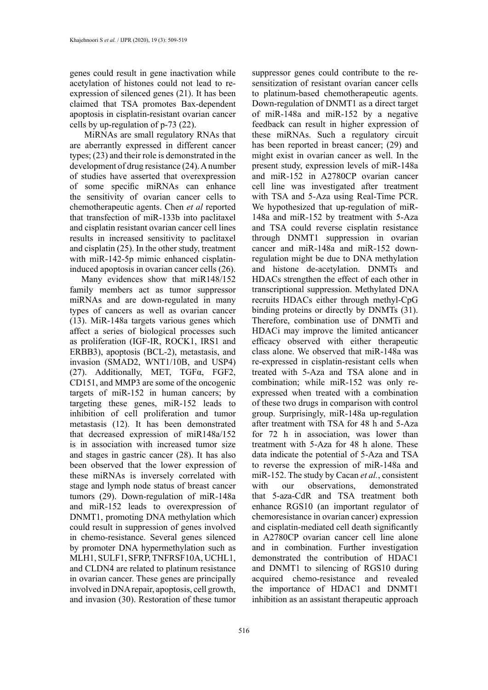genes could result in gene inactivation while acetylation of histones could not lead to reexpression of silenced genes (21). It has been claimed that TSA promotes Bax-dependent apoptosis in cisplatin-resistant ovarian cancer cells by up-regulation of p-73 (22).

 MiRNAs are small regulatory RNAs that are aberrantly expressed in different cancer types; (23) and their role is demonstrated in the development of drug resistance (24). A number of studies have asserted that overexpression of some specific miRNAs can enhance the sensitivity of ovarian cancer cells to chemotherapeutic agents. Chen *et al* reported that transfection of miR-133b into paclitaxel and cisplatin resistant ovarian cancer cell lines results in increased sensitivity to paclitaxel and cisplatin (25). In the other study, treatment with miR-142-5p mimic enhanced cisplatininduced apoptosis in ovarian cancer cells (26).

Many evidences show that miR148/152 family members act as tumor suppressor miRNAs and are down-regulated in many types of cancers as well as ovarian cancer (13). MiR-148a targets various genes which affect a series of biological processes such as proliferation (IGF-IR, ROCK1, IRS1 and ERBB3), apoptosis (BCL-2), metastasis, and invasion (SMAD2, WNT1/10B, and USP4) (27). Additionally, MET, TGFα, FGF2, CD151, and MMP3 are some of the oncogenic targets of miR-152 in human cancers; by targeting these genes, miR-152 leads to inhibition of cell proliferation and tumor metastasis (12). It has been demonstrated that decreased expression of miR148a/152 is in association with increased tumor size and stages in gastric cancer (28). It has also been observed that the lower expression of these miRNAs is inversely correlated with stage and lymph node status of breast cancer tumors (29). Down-regulation of miR-148a and miR-152 leads to overexpression of DNMT1, promoting DNA methylation which could result in suppression of genes involved in chemo-resistance. Several genes silenced by promoter DNA hypermethylation such as MLH1, SULF1, SFRP, TNFRSF10A, UCHL1, and CLDN4 are related to platinum resistance in ovarian cancer. These genes are principally involved in DNA repair, apoptosis, cell growth, and invasion (30). Restoration of these tumor

suppressor genes could contribute to the resensitization of resistant ovarian cancer cells to platinum-based chemotherapeutic agents. Down-regulation of DNMT1 as a direct target of miR-148a and miR-152 by a negative feedback can result in higher expression of these miRNAs. Such a regulatory circuit has been reported in breast cancer; (29) and might exist in ovarian cancer as well. In the present study, expression levels of miR-148a and miR-152 in A2780CP ovarian cancer cell line was investigated after treatment with TSA and 5-Aza using Real-Time PCR. We hypothesized that up-regulation of miR-148a and miR-152 by treatment with 5-Aza and TSA could reverse cisplatin resistance through DNMT1 suppression in ovarian cancer and miR-148a and miR-152 downregulation might be due to DNA methylation and histone de-acetylation. DNMTs and HDACs strengthen the effect of each other in transcriptional suppression. Methylated DNA recruits HDACs either through methyl-CpG binding proteins or directly by DNMTs (31). Therefore, combination use of DNMTi and HDACi may improve the limited anticancer efficacy observed with either therapeutic class alone. We observed that miR-148a was re-expressed in cisplatin-resistant cells when treated with 5-Aza and TSA alone and in combination; while miR-152 was only reexpressed when treated with a combination of these two drugs in comparison with control group. Surprisingly, miR-148a up-regulation after treatment with TSA for 48 h and 5-Aza for 72 h in association, was lower than treatment with 5-Aza for 48 h alone. These data indicate the potential of 5-Aza and TSA to reverse the expression of miR-148a and miR-152. The study by Cacan *et al.*, consistent with our observations, demonstrated that 5-aza-CdR and TSA treatment both enhance RGS10 (an important regulator of chemoresistance in ovarian cancer) expression and cisplatin-mediated cell death significantly in A2780CP ovarian cancer cell line alone and in combination. Further investigation demonstrated the contribution of HDAC1 and DNMT1 to silencing of RGS10 during acquired chemo-resistance and revealed the importance of HDAC1 and DNMT1 inhibition as an assistant therapeutic approach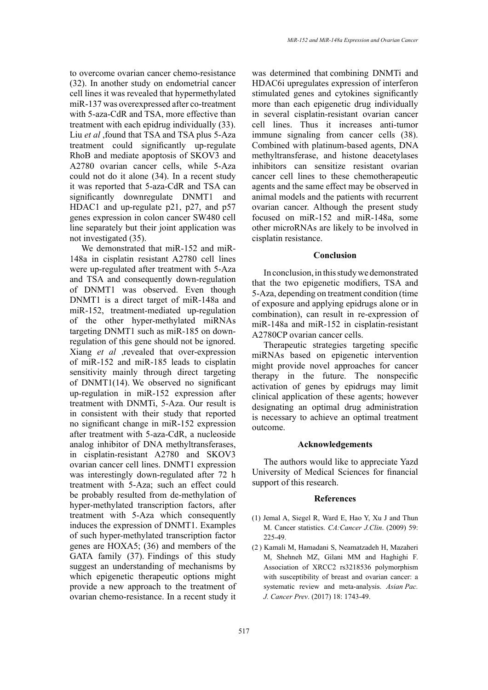to overcome ovarian cancer chemo-resistance (32). In another study on endometrial cancer cell lines it was revealed that hypermethylated miR-137 was overexpressed after co-treatment with 5-aza-CdR and TSA, more effective than treatment with each epidrug individually (33). Liu *et al* ,found that TSA and TSA plus 5-Aza treatment could significantly up-regulate RhoB and mediate apoptosis of SKOV3 and A2780 ovarian cancer cells, while 5-Aza could not do it alone (34). In a recent study it was reported that 5-aza-CdR and TSA can significantly downregulate DNMT1 and HDAC1 and up-regulate p21, p27, and p57 genes expression in colon cancer SW480 cell line separately but their joint application was not investigated (35).

We demonstrated that miR-152 and miR-148a in cisplatin resistant A2780 cell lines were up-regulated after treatment with 5-Aza and TSA and consequently down-regulation of DNMT1 was observed. Even though DNMT1 is a direct target of miR-148a and miR-152, treatment-mediated up-regulation of the other hyper-methylated miRNAs targeting DNMT1 such as miR-185 on downregulation of this gene should not be ignored. Xiang *et al* ,revealed that over-expression of miR-152 and miR-185 leads to cisplatin sensitivity mainly through direct targeting of DNMT1(14). We observed no significant up-regulation in miR-152 expression after treatment with DNMTi, 5-Aza. Our result is in consistent with their study that reported no significant change in miR-152 expression after treatment with 5-aza-CdR, a nucleoside analog inhibitor of DNA methyltransferases, in cisplatin-resistant A2780 and SKOV3 ovarian cancer cell lines. DNMT1 expression was interestingly down-regulated after 72 h treatment with 5-Aza; such an effect could be probably resulted from de-methylation of hyper-methylated transcription factors, after treatment with 5-Aza which consequently induces the expression of DNMT1. Examples of such hyper-methylated transcription factor genes are HOXA5; (36) and members of the GATA family (37). Findings of this study suggest an understanding of mechanisms by which epigenetic therapeutic options might provide a new approach to the treatment of ovarian chemo-resistance. In a recent study it was determined that combining DNMTi and HDAC6i upregulates expression of interferon stimulated genes and cytokines significantly more than each epigenetic drug individually in several cisplatin-resistant ovarian cancer cell lines. Thus it increases anti-tumor immune signaling from cancer cells (38). Combined with platinum-based agents, DNA methyltransferase, and histone deacetylases inhibitors can sensitize resistant ovarian cancer cell lines to these chemotherapeutic agents and the same effect may be observed in animal models and the patients with recurrent ovarian cancer. Although the present study focused on miR-152 and miR-148a, some other microRNAs are likely to be involved in cisplatin resistance.

# **Conclusion**

In conclusion, in this study we demonstrated that the two epigenetic modifiers, TSA and 5-Aza, depending on treatment condition (time of exposure and applying epidrugs alone or in combination), can result in re-expression of miR-148a and miR-152 in cisplatin-resistant A2780CP ovarian cancer cells.

Therapeutic strategies targeting specific miRNAs based on epigenetic intervention might provide novel approaches for cancer therapy in the future. The nonspecific activation of genes by epidrugs may limit clinical application of these agents; however designating an optimal drug administration is necessary to achieve an optimal treatment outcome.

## **Acknowledgements**

The authors would like to appreciate Yazd University of Medical Sciences for financial support of this research.

## **References**

- )1( Jemal A, Siegel R, Ward E, Hao Y, Xu J and Thun M. Cancer statistics. *CA:Cancer J.Clin.* (2009) 59: 225-49
- )2 ( Kamali M, Hamadani S, Neamatzadeh H, Mazaheri M, Shehneh MZ, Gilani MM and Haghighi F. Association of XRCC2 rs3218536 polymorphism with susceptibility of breast and ovarian cancer: a systematic review and meta-analysis. *Asian Pac. J. Cancer Prev.* (2017) 18: 1743-49.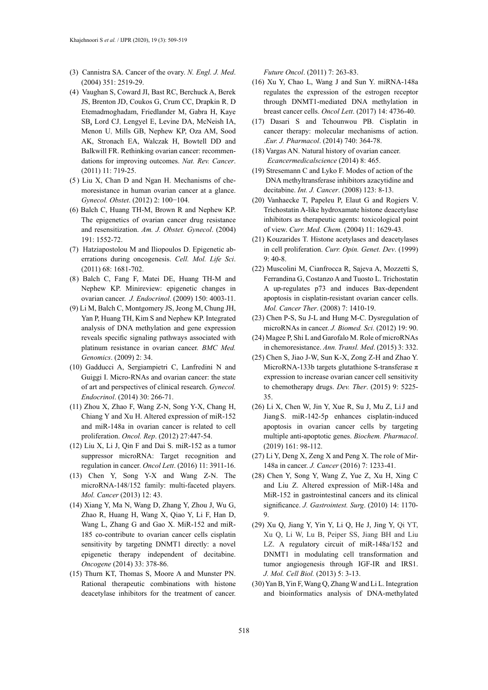- )3( Cannistra SA. Cancer of the ovary. *N. Engl. J. Med*. )2004( 351: 2519-29.
- )4 ( Vaughan S, Coward JI, Bast RC, Berchuck A, Berek JS, Brenton JD, Coukos G, Crum CC, Drapkin R, D Etemadmoghadam, Friedlander M, Gabra H, Kaye SB, Lord CJ, Lengyel E, Levine DA, McNeish IA, Menon U, Mills GB, Nephew KP, Oza AM, Sood AK, Stronach EA, Walczak H, Bowtell DD and Balkwill FR. Rethinking ovarian cancer: recommendations for improving outcomes. *Nat. Rev. Cancer*. (2011) 11: 719-25.
- $(5)$  Liu X, Chan D and Ngan H. Mechanisms of chemoresistance in human ovarian cancer at a glance. *Gynecol. Obstet.* (2012) 2: 100-104.
- )6( Balch C, Huang TH-M, Brown R and Nephew KP. The epigenetics of ovarian cancer drug resistance and resensitization. Am. J. Obstet. Gynecol. (2004) 191: 1552-72.
- )7 ( Hatziapostolou M and Iliopoulos D. Epigenetic aberrations during oncogenesis. *Cell. Mol. Life Sci*. )2011( 68: 1681-702.
- (8) Balch C, Fang F, Matei DE, Huang TH-M and Nephew KP. Minireview: epigenetic changes in ovarian cancer. *J. Endocrinol.* (2009) 150: 4003-11.
- )9( Li M, Balch C, Montgomery JS, Jeong M, Chung JH, Yan P, Huang TH, Kim S and Nephew KP. Integrated analysis of DNA methylation and gene expression reveals specific signaling pathways associated with platinum resistance in ovarian cancer. *BMC Med. Genomics.* (2009) 2: 34.
- )10( Gadducci A, Sergiampietri C, Lanfredini N and Guiggi I. Micro-RNAs and ovarian cancer: the state of art and perspectives of clinical research. *Gynecol. Endocrinol.* (2014) 30: 266-71.
- $(11)$  Zhou X, Zhao F, Wang Z-N, Song Y-X, Chang H, Chiang Y and Xu H. Altered expression of miR-152 and miR-148a in ovarian cancer is related to cell proliferation. *Oncol. Rep.* (2012) 27:447-54.
- $(12)$  Liu X, Li J, Oin F and Dai S. miR-152 as a tumor suppressor microRNA: Target recognition and regulation in cancer. *Oncol Lett*. (2016) 11: 3911-16.
- )13( Chen Y, Song Y-X and Wang Z-N. The microRNA-148/152 family: multi-faceted players. *Mol. Cancer* (2013) 12: 43.
- )14( Xiang Y, Ma N, Wang D, Zhang Y, Zhou J, Wu G, Zhao R, Huang H, Wang X, Qiao Y, Li F, Han D, Wang L, Zhang G and Gao X. MiR-152 and miR-185 co-contribute to ovarian cancer cells cisplatin sensitivity by targeting DNMT1 directly: a novel epigenetic therapy independent of decitabine. *Oncogene* (2014) 33: 378-86.
- )15( Thurn KT, Thomas S, Moore A and Munster PN. Rational therapeutic combinations with histone deacetylase inhibitors for the treatment of cancer.

*Future Oncol.* (2011) 7: 263-83.

- )16( Xu Y, Chao L, Wang J and Sun Y. miRNA-148a regulates the expression of the estrogen receptor through DNMT1-mediated DNA methylation in breast cancer cells. *Oncol Lett*. (2017) 14: 4736-40.
- )17( Dasari S and Tchounwou PB. Cisplatin in cancer therapy: molecular mechanisms of action. .*Eur. J. Pharmacol*. )2014( 740: 364-78.
- (18) Vargas AN. Natural history of ovarian cancer. *Ecancermedicalscience* (2014) 8: 465.
- )19( Stresemann C and Lyko F. Modes of action of the DNA methyltransferase inhibitors azacytidine and decitabine. *Int. J. Cancer*. (2008) 123: 8-13.
- )20( Vanhaecke T, Papeleu P, Elaut G and Rogiers V. Trichostatin A-like hydroxamate histone deacetylase inhibitors as therapeutic agents: toxicological point of view. Curr. Med. Chem. (2004) 11: 1629-43.
- )21( Kouzarides T. Histone acetylases and deacetylases in cell proliferation. *Curr. Opin. Genet. Dev.* (1999) 9: 40-8.
- )22( Muscolini M, Cianfrocca R, Sajeva A, Mozzetti S, Ferrandina G, Costanzo A and Tuosto L. Trichostatin A up-regulates p73 and induces Bax-dependent apoptosis in cisplatin-resistant ovarian cancer cells. *Mol. Cancer Ther.* (2008) 7: 1410-19.
- )23( Chen P-S, Su J-L and Hung M-C. Dysregulation of microRNAs in cancer. *J. Biomed. Sci.* (2012) 19: 90.
- )24( Magee P, Shi L and Garofalo M. Role of microRNAs in chemoresistance. Ann. Transl. Med. (2015) 3: 332.
- )25( Chen S, Jiao J-W, Sun K-X, Zong Z-H and Zhao Y. MicroRNA-133b targets glutathione S-transferase  $\pi$ expression to increase ovarian cancer cell sensitivity to chemotherapy drugs. Dev. Ther. (2015) 9: 5225-35.
- )26( Li X, Chen W, Jin Y, Xue R, Su J, Mu Z, LiJ and Jiang S. miR-142-5p enhances cisplatin-induced apoptosis in ovarian cancer cells by targeting multiple anti-apoptotic genes. *Biochem. Pharmacol*. (2019) 161: 98-112.
- $(27)$  Li Y, Deng X, Zeng X and Peng X. The role of Mir-148a in cancer. *J. Cancer* (2016) 7: 1233-41.
- )28( Chen Y, Song Y, Wang Z, Yue Z, Xu H, Xing C and Liu Z. Altered expression of MiR-148a and MiR-152 in gastrointestinal cancers and its clinical significance. *J. Gastrointest. Surg.* (2010) 14: 1170-9.
- )29( Xu Q, Jiang Y, Yin Y, Li Q, He J, Jing Y, Qi YT, Xu Q, Li W, Lu B, Peiper SS, Jiang BH and Liu LZ. A regulatory circuit of miR-148a/152 and DNMT1 in modulating cell transformation and tumor angiogenesis through IGF-IR and IRS1. *J. Mol. Cell Biol.* (2013) 5: 3-13.
- )30( Yan B, Yin F, Wang Q, Zhang W and Li L. Integration and bioinformatics analysis of DNA-methylated